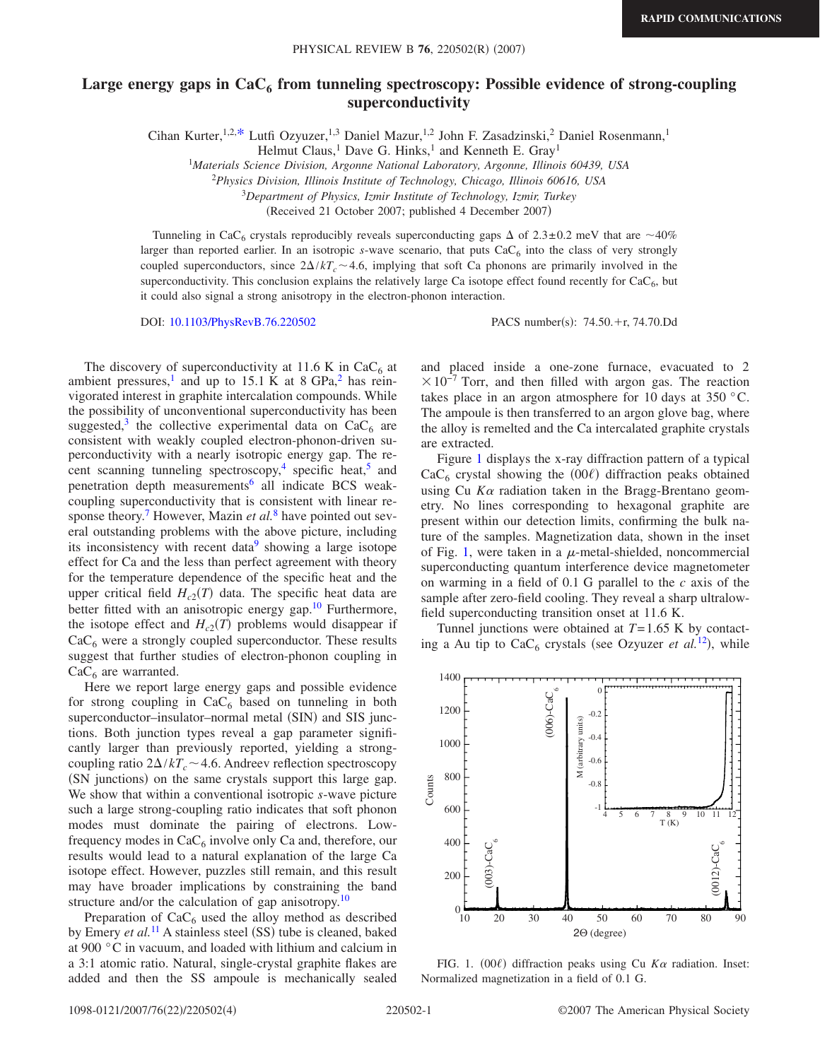## Large energy gaps in CaC<sub>6</sub> from tunneling spectroscopy: Possible evidence of strong-coupling **superconductivity**

Cihan Kurter,<sup>1,2[,\\*](#page-3-0)</sup> Lutfi Ozyuzer,<sup>1,3</sup> Daniel Mazur,<sup>1,2</sup> John F. Zasadzinski,<sup>2</sup> Daniel Rosenmann,<sup>1</sup>

Helmut Claus,<sup>1</sup> Dave G. Hinks,<sup>1</sup> and Kenneth E. Gray<sup>1</sup>

1 *Materials Science Division, Argonne National Laboratory, Argonne, Illinois 60439, USA*

<sup>2</sup>*Physics Division, Illinois Institute of Technology, Chicago, Illinois 60616, USA*

<sup>3</sup>*Department of Physics, Izmir Institute of Technology, Izmir, Turkey*

(Received 21 October 2007; published 4 December 2007)

Tunneling in CaC<sub>6</sub> crystals reproducibly reveals superconducting gaps  $\Delta$  of 2.3±0.2 meV that are ~40% larger than reported earlier. In an isotropic *s*-wave scenario, that puts  $CaC<sub>6</sub>$  into the class of very strongly coupled superconductors, since  $2\Delta/kT_c \sim 4.6$ , implying that soft Ca phonons are primarily involved in the superconductivity. This conclusion explains the relatively large Ca isotope effect found recently for  $CaC<sub>6</sub>$ , but it could also signal a strong anisotropy in the electron-phonon interaction.

DOI: [10.1103/PhysRevB.76.220502](http://dx.doi.org/10.1103/PhysRevB.76.220502)

 $: 74.50 + r, 74.70$ .Dd

The discovery of superconductivity at 11.6 K in CaC<sub>6</sub> at ambient pressures,<sup>1</sup> and up to 15.1 K at 8 GPa,<sup>2</sup> has reinvigorated interest in graphite intercalation compounds. While the possibility of unconventional superconductivity has been suggested,<sup>3</sup> the collective experimental data on  $CaC<sub>6</sub>$  are consistent with weakly coupled electron-phonon-driven superconductivity with a nearly isotropic energy gap. The recent scanning tunneling spectroscopy,<sup>4</sup> specific heat,<sup>5</sup> and penetration depth measurements<sup>6</sup> all indicate BCS weakcoupling superconductivity that is consistent with linear response theory.<sup>7</sup> However, Mazin *et al.*<sup>[8](#page-3-8)</sup> have pointed out several outstanding problems with the above picture, including its inconsistency with recent data<sup>9</sup> showing a large isotope effect for Ca and the less than perfect agreement with theory for the temperature dependence of the specific heat and the upper critical field  $H_{c2}(T)$  data. The specific heat data are better fitted with an anisotropic energy gap.<sup>10</sup> Furthermore, the isotope effect and  $H_{c2}(T)$  problems would disappear if  $CaC<sub>6</sub>$  were a strongly coupled superconductor. These results suggest that further studies of electron-phonon coupling in  $CaC<sub>6</sub>$  are warranted.

Here we report large energy gaps and possible evidence for strong coupling in  $CaC_6$  based on tunneling in both superconductor-insulator-normal metal (SIN) and SIS junctions. Both junction types reveal a gap parameter significantly larger than previously reported, yielding a strongcoupling ratio  $2\Delta/kT_c \sim 4.6$ . Andreev reflection spectroscopy (SN junctions) on the same crystals support this large gap. We show that within a conventional isotropic *s*-wave picture such a large strong-coupling ratio indicates that soft phonon modes must dominate the pairing of electrons. Lowfrequency modes in  $CaC<sub>6</sub>$  involve only Ca and, therefore, our results would lead to a natural explanation of the large Ca isotope effect. However, puzzles still remain, and this result may have broader implications by constraining the band structure and/or the calculation of gap anisotropy.<sup>10</sup>

Preparation of  $CaC_6$  used the alloy method as described by Emery *et al.*<sup>[11](#page-3-11)</sup> A stainless steel (SS) tube is cleaned, baked at 900 °C in vacuum, and loaded with lithium and calcium in a 3:1 atomic ratio. Natural, single-crystal graphite flakes are added and then the SS ampoule is mechanically sealed and placed inside a one-zone furnace, evacuated to 2  $\times 10^{-7}$  Torr, and then filled with argon gas. The reaction takes place in an argon atmosphere for 10 days at 350 °C. The ampoule is then transferred to an argon glove bag, where the alloy is remelted and the Ca intercalated graphite crystals are extracted.

Figure [1](#page-0-0) displays the x-ray diffraction pattern of a typical  $CaC<sub>6</sub>$  crystal showing the (00 $\ell$ ) diffraction peaks obtained using Cu  $K\alpha$  radiation taken in the Bragg-Brentano geometry. No lines corresponding to hexagonal graphite are present within our detection limits, confirming the bulk nature of the samples. Magnetization data, shown in the inset of Fig. [1,](#page-0-0) were taken in a  $\mu$ -metal-shielded, noncommercial superconducting quantum interference device magnetometer on warming in a field of 0.1 G parallel to the *c* axis of the sample after zero-field cooling. They reveal a sharp ultralowfield superconducting transition onset at 11.6 K.

Tunnel junctions were obtained at *T*= 1.65 K by contacting a Au tip to  $CaC_6$  crystals (see Ozyuzer *et al.*<sup>[12](#page-3-12)</sup>), while

<span id="page-0-0"></span>

FIG. 1.  $(00\ell)$  diffraction peaks using Cu  $K\alpha$  radiation. Inset: Normalized magnetization in a field of 0.1 G.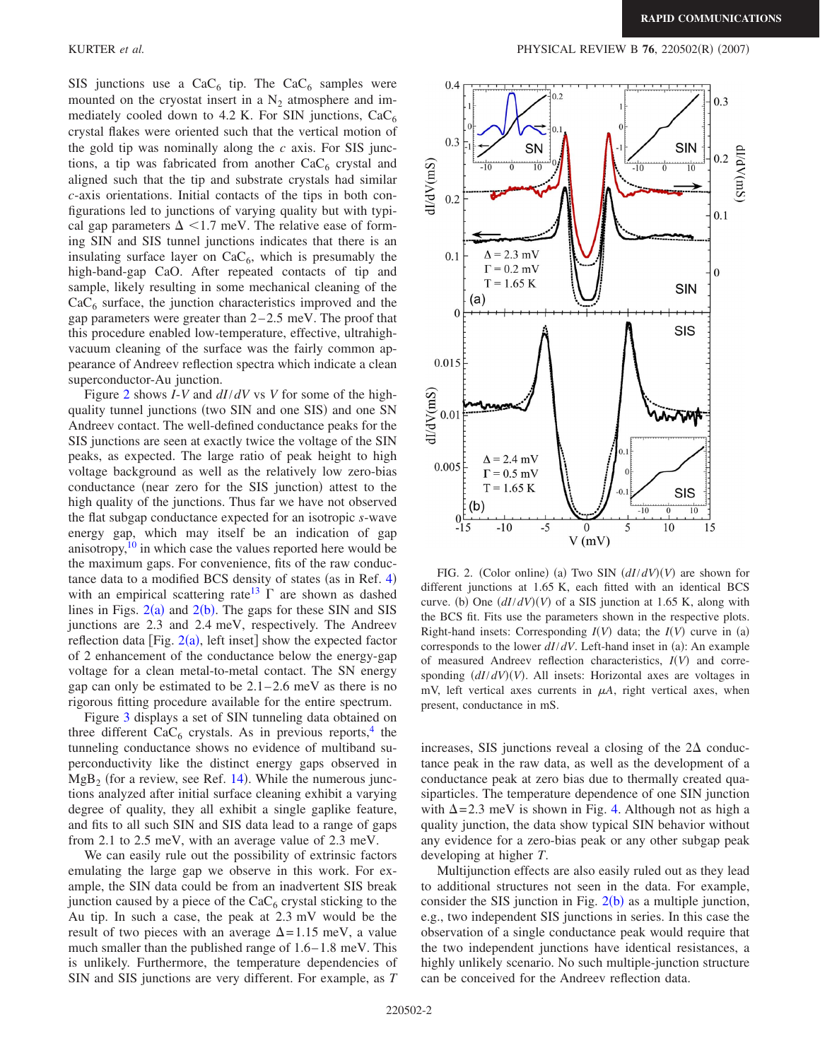SIS junctions use a  $CaC_6$  tip. The  $CaC_6$  samples were mounted on the cryostat insert in a  $N_2$  atmosphere and immediately cooled down to 4.2 K. For SIN junctions,  $CaC<sub>6</sub>$ crystal flakes were oriented such that the vertical motion of the gold tip was nominally along the *c* axis. For SIS junctions, a tip was fabricated from another  $CaC<sub>6</sub>$  crystal and aligned such that the tip and substrate crystals had similar *c*-axis orientations. Initial contacts of the tips in both configurations led to junctions of varying quality but with typical gap parameters  $\Delta$  <1.7 meV. The relative ease of forming SIN and SIS tunnel junctions indicates that there is an insulating surface layer on  $CaC<sub>6</sub>$ , which is presumably the high-band-gap CaO. After repeated contacts of tip and sample, likely resulting in some mechanical cleaning of the  $CaC<sub>6</sub>$  surface, the junction characteristics improved and the gap parameters were greater than  $2-2.5$  meV. The proof that this procedure enabled low-temperature, effective, ultrahighvacuum cleaning of the surface was the fairly common appearance of Andreev reflection spectra which indicate a clean superconductor-Au junction.

Figure [2](#page-1-0) shows *I*-*V* and *dI*/*dV* vs *V* for some of the highquality tunnel junctions (two SIN and one SIS) and one SN Andreev contact. The well-defined conductance peaks for the SIS junctions are seen at exactly twice the voltage of the SIN peaks, as expected. The large ratio of peak height to high voltage background as well as the relatively low zero-bias conductance (near zero for the SIS junction) attest to the high quality of the junctions. Thus far we have not observed the flat subgap conductance expected for an isotropic *s*-wave energy gap, which may itself be an indication of gap anisotropy, $10$  in which case the values reported here would be the maximum gaps. For convenience, fits of the raw conduc-tance data to a modified BCS density of states (as in Ref. [4](#page-3-4)) with an empirical scattering rate<sup>13</sup>  $\Gamma$  are shown as dashed lines in Figs.  $2(a)$  $2(a)$  and  $2(b)$ . The gaps for these SIN and SIS junctions are 2.3 and 2.4 meV, respectively. The Andreev reflection data [Fig.  $2(a)$  $2(a)$ , left inset] show the expected factor of 2 enhancement of the conductance below the energy-gap voltage for a clean metal-to-metal contact. The SN energy gap can only be estimated to be  $2.1-2.6$  meV as there is no rigorous fitting procedure available for the entire spectrum.

Figure [3](#page-2-0) displays a set of SIN tunneling data obtained on three different  $CaC_6$  crystals. As in previous reports,<sup>4</sup> the tunneling conductance shows no evidence of multiband superconductivity like the distinct energy gaps observed in  $MgB<sub>2</sub>$  (for a review, see Ref. [14](#page-3-14)). While the numerous junctions analyzed after initial surface cleaning exhibit a varying degree of quality, they all exhibit a single gaplike feature, and fits to all such SIN and SIS data lead to a range of gaps from 2.1 to 2.5 meV, with an average value of 2.3 meV.

We can easily rule out the possibility of extrinsic factors emulating the large gap we observe in this work. For example, the SIN data could be from an inadvertent SIS break junction caused by a piece of the  $CaC<sub>6</sub>$  crystal sticking to the Au tip. In such a case, the peak at 2.3 mV would be the result of two pieces with an average  $\Delta = 1.15$  meV, a value much smaller than the published range of 1.6– 1.8 meV. This is unlikely. Furthermore, the temperature dependencies of SIN and SIS junctions are very different. For example, as *T*

<span id="page-1-0"></span>

FIG. 2. (Color online) (a) Two SIN  $(dI/dV)(V)$  are shown for different junctions at 1.65 K, each fitted with an identical BCS curve. (b) One  $\left(\frac{dI}{dV}\right)(V)$  of a SIS junction at 1.65 K, along with the BCS fit. Fits use the parameters shown in the respective plots. Right-hand insets: Corresponding  $I(V)$  data; the  $I(V)$  curve in (a) corresponds to the lower  $dI/dV$ . Left-hand inset in (a): An example of measured Andreev reflection characteristics,  $I(V)$  and corresponding  $(dI/dV)(V)$ . All insets: Horizontal axes are voltages in mV, left vertical axes currents in  $\mu A$ , right vertical axes, when present, conductance in mS.

increases, SIS junctions reveal a closing of the  $2\Delta$  conductance peak in the raw data, as well as the development of a conductance peak at zero bias due to thermally created quasiparticles. The temperature dependence of one SIN junction with  $\Delta = 2.3$  meV is shown in Fig. [4.](#page-2-1) Although not as high a quality junction, the data show typical SIN behavior without any evidence for a zero-bias peak or any other subgap peak developing at higher *T*.

Multijunction effects are also easily ruled out as they lead to additional structures not seen in the data. For example, consider the SIS junction in Fig.  $2(b)$  $2(b)$  as a multiple junction, e.g., two independent SIS junctions in series. In this case the observation of a single conductance peak would require that the two independent junctions have identical resistances, a highly unlikely scenario. No such multiple-junction structure can be conceived for the Andreev reflection data.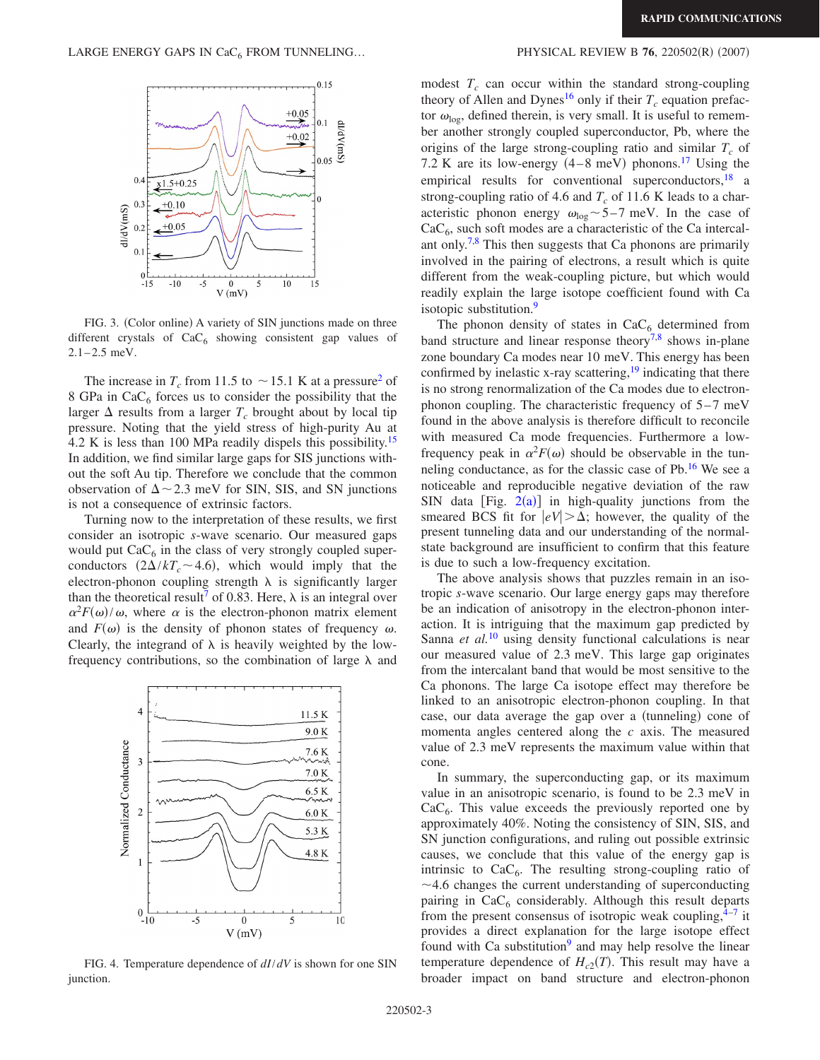<span id="page-2-0"></span>

FIG. 3. (Color online) A variety of SIN junctions made on three different crystals of  $CaC_6$  showing consistent gap values of  $2.1 - 2.5$  meV.

The increase in  $T_c$  from 11.5 to  $\sim$  15.1 K at a pressure<sup>2</sup> of 8 GPa in  $CaC<sub>6</sub>$  forces us to consider the possibility that the larger  $\Delta$  results from a larger  $T_c$  brought about by local tip pressure. Noting that the yield stress of high-purity Au at 4.2 K is less than 100 MPa readily dispels this possibility.<sup>15</sup> In addition, we find similar large gaps for SIS junctions without the soft Au tip. Therefore we conclude that the common observation of  $\Delta \sim 2.3$  meV for SIN, SIS, and SN junctions is not a consequence of extrinsic factors.

Turning now to the interpretation of these results, we first consider an isotropic *s*-wave scenario. Our measured gaps would put  $CaC<sub>6</sub>$  in the class of very strongly coupled superconductors  $(2\Delta/kT_c \sim 4.6)$ , which would imply that the electron-phonon coupling strength  $\lambda$  is significantly larger than the theoretical result<sup>7</sup> of 0.83. Here,  $\lambda$  is an integral over  $\alpha^2 F(\omega)/\omega$ , where  $\alpha$  is the electron-phonon matrix element and  $F(\omega)$  is the density of phonon states of frequency  $\omega$ . Clearly, the integrand of  $\lambda$  is heavily weighted by the lowfrequency contributions, so the combination of large  $\lambda$  and

<span id="page-2-1"></span>

FIG. 4. Temperature dependence of *dI*/*dV* is shown for one SIN junction.

## $(2007)$

modest  $T_c$  can occur within the standard strong-coupling theory of Allen and Dynes<sup>16</sup> only if their  $T_c$  equation prefactor  $\omega_{\text{log}}$ , defined therein, is very small. It is useful to remember another strongly coupled superconductor, Pb, where the origins of the large strong-coupling ratio and similar  $T_c$  of 7.2 K are its low-energy  $(4-8 \text{ meV})$  phonons.<sup>17</sup> Using the empirical results for conventional superconductors, $18$  a strong-coupling ratio of 4.6 and  $T_c$  of 11.6 K leads to a characteristic phonon energy  $\omega_{\text{log}}$  – 5–7 meV. In the case of  $CaC<sub>6</sub>$ , such soft modes are a characteristic of the Ca intercal-ant only.<sup>7,[8](#page-3-8)</sup> This then suggests that Ca phonons are primarily involved in the pairing of electrons, a result which is quite different from the weak-coupling picture, but which would readily explain the large isotope coefficient found with Ca isotopic substitution.<sup>9</sup>

The phonon density of states in  $CaC<sub>6</sub>$  determined from band structure and linear response theory<sup>7[,8](#page-3-8)</sup> shows in-plane zone boundary Ca modes near 10 meV. This energy has been confirmed by inelastic x-ray scattering,  $19$  indicating that there is no strong renormalization of the Ca modes due to electronphonon coupling. The characteristic frequency of  $5-7$  meV found in the above analysis is therefore difficult to reconcile with measured Ca mode frequencies. Furthermore a lowfrequency peak in  $\alpha^2 F(\omega)$  should be observable in the tunneling conductance, as for the classic case of  $Pb$ .<sup>16</sup> We see a noticeable and reproducible negative deviation of the raw SIN data [Fig.  $2(a)$  $2(a)$ ] in high-quality junctions from the smeared BCS fit for  $|eV| > \Delta$ ; however, the quality of the present tunneling data and our understanding of the normalstate background are insufficient to confirm that this feature is due to such a low-frequency excitation.

The above analysis shows that puzzles remain in an isotropic *s*-wave scenario. Our large energy gaps may therefore be an indication of anisotropy in the electron-phonon interaction. It is intriguing that the maximum gap predicted by Sanna *et al.*<sup>[10](#page-3-10)</sup> using density functional calculations is near our measured value of 2.3 meV. This large gap originates from the intercalant band that would be most sensitive to the Ca phonons. The large Ca isotope effect may therefore be linked to an anisotropic electron-phonon coupling. In that case, our data average the gap over a (tunneling) cone of momenta angles centered along the *c* axis. The measured value of 2.3 meV represents the maximum value within that cone.

In summary, the superconducting gap, or its maximum value in an anisotropic scenario, is found to be 2.3 meV in  $CaC<sub>6</sub>$ . This value exceeds the previously reported one by approximately 40%. Noting the consistency of SIN, SIS, and SN junction configurations, and ruling out possible extrinsic causes, we conclude that this value of the energy gap is intrinsic to  $CaC<sub>6</sub>$ . The resulting strong-coupling ratio of  $\sim$  4.6 changes the current understanding of superconducting pairing in  $CaC<sub>6</sub>$  considerably. Although this result departs from the present consensus of isotropic weak coupling, $4-7$  $4-7$  it provides a direct explanation for the large isotope effect found with Ca substitution<sup>9</sup> and may help resolve the linear temperature dependence of  $H_{c2}(T)$ . This result may have a broader impact on band structure and electron-phonon